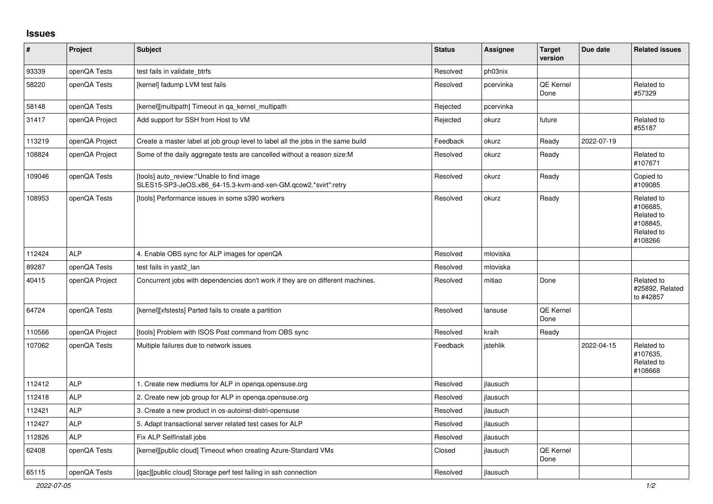## **Issues**

| #      | Project        | <b>Subject</b>                                                                                              | <b>Status</b> | <b>Assignee</b> | <b>Target</b><br>version | Due date   | <b>Related issues</b>                                                     |
|--------|----------------|-------------------------------------------------------------------------------------------------------------|---------------|-----------------|--------------------------|------------|---------------------------------------------------------------------------|
| 93339  | openQA Tests   | test fails in validate_btrfs                                                                                | Resolved      | ph03nix         |                          |            |                                                                           |
| 58220  | openQA Tests   | [kernel] fadump LVM test fails                                                                              | Resolved      | pcervinka       | QE Kernel<br>Done        |            | Related to<br>#57329                                                      |
| 58148  | openQA Tests   | [kernel][multipath] Timeout in ga kernel multipath                                                          | Rejected      | pcervinka       |                          |            |                                                                           |
| 31417  | openQA Project | Add support for SSH from Host to VM                                                                         | Rejected      | okurz           | future                   |            | Related to<br>#55187                                                      |
| 113219 | openQA Project | Create a master label at job group level to label all the jobs in the same build                            | Feedback      | okurz           | Ready                    | 2022-07-19 |                                                                           |
| 108824 | openQA Project | Some of the daily aggregate tests are cancelled without a reason size: M                                    | Resolved      | okurz           | Ready                    |            | Related to<br>#107671                                                     |
| 109046 | openQA Tests   | [tools] auto review:"Unable to find image<br>SLES15-SP3-JeOS.x86 64-15.3-kvm-and-xen-GM.gcow2.*svirt":retry | Resolved      | okurz           | Ready                    |            | Copied to<br>#109085                                                      |
| 108953 | openQA Tests   | [tools] Performance issues in some s390 workers                                                             | Resolved      | okurz           | Ready                    |            | Related to<br>#106685,<br>Related to<br>#108845,<br>Related to<br>#108266 |
| 112424 | <b>ALP</b>     | 4. Enable OBS sync for ALP images for openQA                                                                | Resolved      | mloviska        |                          |            |                                                                           |
| 89287  | openQA Tests   | test fails in yast2 lan                                                                                     | Resolved      | mloviska        |                          |            |                                                                           |
| 40415  | openQA Project | Concurrent jobs with dependencies don't work if they are on different machines.                             | Resolved      | mitiao          | Done                     |            | Related to<br>#25892, Related<br>to #42857                                |
| 64724  | openQA Tests   | [kernel][xfstests] Parted fails to create a partition                                                       | Resolved      | lansuse         | QE Kernel<br>Done        |            |                                                                           |
| 110566 | openQA Project | [tools] Problem with ISOS Post command from OBS sync                                                        | Resolved      | kraih           | Ready                    |            |                                                                           |
| 107062 | openQA Tests   | Multiple failures due to network issues                                                                     | Feedback      | istehlik        |                          | 2022-04-15 | Related to<br>#107635,<br>Related to<br>#108668                           |
| 112412 | <b>ALP</b>     | 1. Create new mediums for ALP in openga.opensuse.org                                                        | Resolved      | jlausuch        |                          |            |                                                                           |
| 112418 | <b>ALP</b>     | 2. Create new job group for ALP in openga.opensuse.org                                                      | Resolved      | jlausuch        |                          |            |                                                                           |
| 112421 | <b>ALP</b>     | 3. Create a new product in os-autoinst-distri-opensuse                                                      | Resolved      | ilausuch        |                          |            |                                                                           |
| 112427 | <b>ALP</b>     | 5. Adapt transactional server related test cases for ALP                                                    | Resolved      | jlausuch        |                          |            |                                                                           |
| 112826 | <b>ALP</b>     | Fix ALP SelfInstall jobs                                                                                    | Resolved      | jlausuch        |                          |            |                                                                           |
| 62408  | openQA Tests   | [kernel][public cloud] Timeout when creating Azure-Standard VMs                                             | Closed        | jlausuch        | QE Kernel<br>Done        |            |                                                                           |
| 65115  | openQA Tests   | [gac][public cloud] Storage perf test failing in ssh connection                                             | Resolved      | ilausuch        |                          |            |                                                                           |